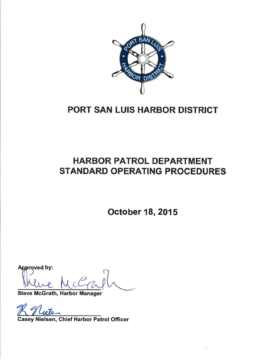

# PORT SAN LUIS HARBOR DISTRICT

# HARBOR PATROL DEPARTMENT STANDARD OPERATING PROCEDURES

October 18,2015

Steve McGrath, Harbor Manager Approved by:

Casey Nielsen, Ghief Harbor Patrol Officer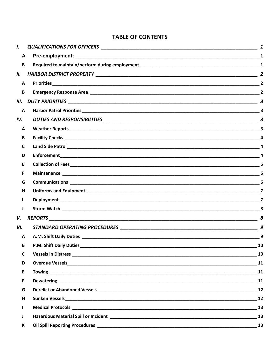# **TABLE OF CONTENTS**

| I.           |                                                                                                                                                                                                                                | 1                       |
|--------------|--------------------------------------------------------------------------------------------------------------------------------------------------------------------------------------------------------------------------------|-------------------------|
| A            |                                                                                                                                                                                                                                |                         |
| B            |                                                                                                                                                                                                                                |                         |
| П.           |                                                                                                                                                                                                                                |                         |
| A            |                                                                                                                                                                                                                                | $\overline{2}$          |
| B            |                                                                                                                                                                                                                                | $\overline{2}$          |
| Ш.           |                                                                                                                                                                                                                                | $\boldsymbol{3}$        |
| A            |                                                                                                                                                                                                                                |                         |
| IV.          |                                                                                                                                                                                                                                | $\overline{\mathbf{3}}$ |
| A            |                                                                                                                                                                                                                                |                         |
| B            |                                                                                                                                                                                                                                |                         |
| C            |                                                                                                                                                                                                                                | $\Delta$                |
| D            | Enforcement <b>Experience and Experience and Experience and Experience and Experience and Experience and Experience</b>                                                                                                        |                         |
| Е            |                                                                                                                                                                                                                                |                         |
| F            |                                                                                                                                                                                                                                |                         |
| G            |                                                                                                                                                                                                                                |                         |
| н            |                                                                                                                                                                                                                                | $\overline{\mathbf{z}}$ |
|              |                                                                                                                                                                                                                                |                         |
| J            |                                                                                                                                                                                                                                |                         |
| V.           |                                                                                                                                                                                                                                | 8                       |
| VI.          |                                                                                                                                                                                                                                | 9                       |
| A            |                                                                                                                                                                                                                                | 9                       |
| B            | P.M. Shift Daily Duties                                                                                                                                                                                                        | 10                      |
| $\mathsf{C}$ |                                                                                                                                                                                                                                | 10                      |
| D            |                                                                                                                                                                                                                                |                         |
| E            |                                                                                                                                                                                                                                |                         |
| F            | Dewatering 11 and 12 and 20 and 20 and 20 and 20 and 20 and 20 and 20 and 20 and 20 and 20 and 20 and 20 and 20                                                                                                                |                         |
| G            | Derelict or Abandoned Vessels and the contract of the contract of the contract of the contract of the contract of the contract of the contract of the contract of the contract of the contract of the contract of the contract |                         |
| H            |                                                                                                                                                                                                                                |                         |
| L            |                                                                                                                                                                                                                                |                         |
| J            |                                                                                                                                                                                                                                |                         |
| К            |                                                                                                                                                                                                                                | 13                      |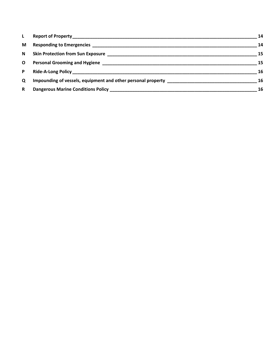| L | 14 |
|---|----|
| M | 14 |
| N | 15 |
| O | 15 |
| P | 16 |
| Q | 16 |
| R | 16 |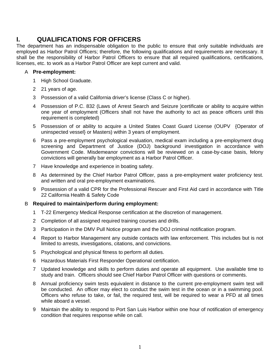# **I. QUALIFICATIONS FOR OFFICERS**

The department has an indispensable obligation to the public to ensure that only suitable individuals are employed as Harbor Patrol Officers; therefore, the following qualifications and requirements are necessary. It shall be the responsibility of Harbor Patrol Officers to ensure that all required qualifications, certifications, licenses, etc. to work as a Harbor Patrol Officer are kept current and valid.

## A **Pre-employment:**

- 1 High School Graduate.
- 2 21 years of age.
- 3 Possession of a valid California driver's license (Class C or higher).
- 4 Possession of P.C. 832 (Laws of Arrest Search and Seizure )certificate or ability to acquire within one year of employment (Officers shall not have the authority to act as peace officers until this requirement is completed)
- 5 Possession of or ability to acquire a United States Coast Guard License (OUPV {Operator of uninspected vessel} or Masters) within 3 years of employment.
- 6 Pass a pre-employment psychological evaluation, medical exam including a pre-employment drug screening and Department of Justice (DOJ) background investigation in accordance with Government Code. Misdemeanor convictions will be reviewed on a case-by-case basis, felony convictions will generally bar employment as a Harbor Patrol Officer.
- 7 Have knowledge and experience in boating safety.
- 8 As determined by the Chief Harbor Patrol Officer, pass a pre-employment water proficiency test. and written and oral pre-employment examinations.
- 9 Possession of a valid CPR for the Professional Rescuer and First Aid card in accordance with Title 22 California Health & Safety Code

## B **Required to maintain/perform during employment:**

- 1 T-22 Emergency Medical Response certification at the discretion of management.
- 2 Completion of all assigned required training courses and drills.
- 3 Participation in the DMV Pull Notice program and the DOJ criminal notification program.
- 4 Report to Harbor Management any outside contacts with law enforcement. This includes but is not limited to arrests, investigations, citations, and convictions.
- 5 Psychological and physical fitness to perform all duties.
- 6 Hazardous Materials First Responder Operational certification.
- 7 Updated knowledge and skills to perform duties and operate all equipment. Use available time to study and train. Officers should see Chief Harbor Patrol Officer with questions or comments.
- 8 Annual proficiency swim tests equivalent in distance to the current pre-employment swim test will be conducted. An officer may elect to conduct the swim test in the ocean or in a swimming pool. Officers who refuse to take, or fail, the required test, will be required to wear a PFD at all times while aboard a vessel.
- 9 Maintain the ability to respond to Port San Luis Harbor within one hour of notification of emergency condition that requires response while on call.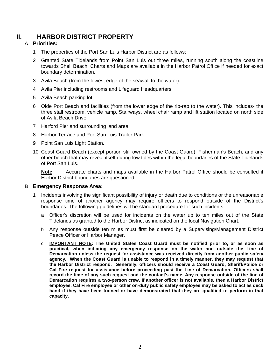# **II. HARBOR DISTRICT PROPERTY**

## A **Priorities:**

- 1 The properties of the Port San Luis Harbor District are as follows:
- 2 Granted State Tidelands from Point San Luis out three miles, running south along the coastline towards Shell Beach. Charts and Maps are available in the Harbor Patrol Office if needed for exact boundary determination.
- 3 Avila Beach (from the lowest edge of the seawall to the water).
- 4 Avila Pier including restrooms and Lifeguard Headquarters
- 5 Avila Beach parking lot.
- 6 Olde Port Beach and facilities (from the lower edge of the rip-rap to the water). This includes- the three stall restroom, vehicle ramp, Stairways, wheel chair ramp and lift station located on north side of Avila Beach Drive.
- 7 Harford Pier and surrounding land area.
- 8 Harbor Terrace and Port San Luis Trailer Park.
- 9 Point San Luis Light Station.
- 10 Coast Guard Beach (except portion still owned by the Coast Guard), Fisherman's Beach, and any other beach that may reveal itself during low tides within the legal boundaries of the State Tidelands of Port San Luis.

**Note**: Accurate charts and maps available in the Harbor Patrol Office should be consulted if Harbor District boundaries are questioned.

## B **Emergency Response Area:**

- 1 Incidents involving the significant possibility of injury or death due to conditions or the unreasonable response time of another agency may require officers to respond outside of the District's boundaries. The following guidelines will be standard procedure for such incidents:
	- a Officer's discretion will be used for incidents on the water up to ten miles out of the State Tidelands as granted to the Harbor District as indicated on the local Navigation Chart.
	- b Any response outside ten miles must first be cleared by a Supervising/Management District Peace Officer or Harbor Manager.
	- c **IMPORTANT NOTE: The United States Coast Guard must be notified prior to, or as soon as practical, when initiating any emergency response on the water and outside the Line of Demarcation unless the request for assistance was received directly from another public safety agency. When the Coast Guard is unable to respond in a timely manner, they may request that the Harbor District respond. Generally, officers should receive a Coast Guard, Sheriff/Police or Cal Fire request for assistance before proceeding past the Line of Demarcation. Officers shall record the time of any such request and the contact's name. Any response outside of the line of Demarcation requires a two-person crew. If another officer is not available, then a Harbor District employee, Cal Fire employee or other on-duty public safety employee may be asked to act as deck hand if they have been trained or have demonstrated that they are qualified to perform in that capacity.**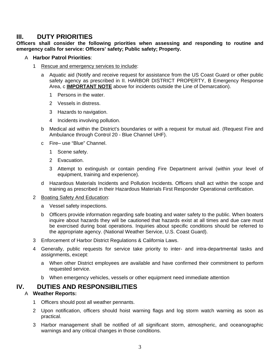# **III. DUTY PRIORITIES**

**Officers shall consider the following priorities when assessing and responding to routine and emergency calls for service: Officers' safety; Public safety; Property.** 

## A **Harbor Patrol Priorities**:

- 1 Rescue and emergency services to include:
	- a Aquatic aid (Notify and receive request for assistance from the US Coast Guard or other public safety agency as prescribed in II. HARBOR DISTRICT PROPERTY, B Emergency Response Area, c **IMPORTANT NOTE** above for incidents outside the Line of Demarcation).
		- 1 Persons in the water.
		- 2 Vessels in distress.
		- 3 Hazards to navigation.
		- 4 Incidents involving pollution.
	- b Medical aid within the District's boundaries or with a request for mutual aid. (Request Fire and Ambulance through Control 20 - Blue Channel UHF).
	- c Fire– use "Blue" Channel.
		- 1 Scene safety.
		- 2 Evacuation.
		- 3 Attempt to extinguish or contain pending Fire Department arrival (within your level of equipment, training and experience).
	- d Hazardous Materials Incidents and Pollution Incidents. Officers shall act within the scope and training as prescribed in their Hazardous Materials First Responder Operational certification.

#### 2 Boating Safety And Education:

- a Vessel safety inspections.
- b Officers provide information regarding safe boating and water safety to the public. When boaters inquire about hazards they will be cautioned that hazards exist at all times and due care must be exercised during boat operations. Inquiries about specific conditions should be referred to the appropriate agency. (National Weather Service, U.S. Coast Guard).
- 3 Enforcement of Harbor District Regulations & California Laws.
- 4 Generally, public requests for service take priority to inter- and intra-departmental tasks and assignments, except:
	- a When other District employees are available and have confirmed their commitment to perform requested service.
	- b When emergency vehicles, vessels or other equipment need immediate attention

# **IV. DUTIES AND RESPONSIBILITIES**

## A **Weather Reports:**

- 1 Officers should post all weather pennants.
- 2 Upon notification, officers should hoist warning flags and log storm watch warning as soon as practical.
- 3 Harbor management shall be notified of all significant storm, atmospheric, and oceanographic warnings and any critical changes in those conditions.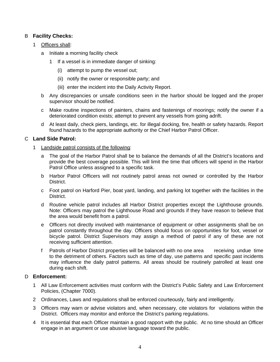## B **Facility Checks:**

- 1 Officers shall:
	- a Initiate a morning facility check
		- 1 If a vessel is in immediate danger of sinking:
			- (i) attempt to pump the vessel out;
			- (ii) notify the owner or responsible party; and
			- (iii) enter the incident into the Daily Activity Report.
	- b Any discrepancies or unsafe conditions seen in the harbor should be logged and the proper supervisor should be notified.
	- c Make routine inspections of painters, chains and fastenings of moorings; notify the owner if a deteriorated condition exists; attempt to prevent any vessels from going adrift.
	- d At least daily, check piers, landings, etc. for illegal docking, fire, health or safety hazards. Report found hazards to the appropriate authority or the Chief Harbor Patrol Officer.

## C **Land Side Patrol:**

- 1 Landside patrol consists of the following:
	- a The goal of the Harbor Patrol shall be to balance the demands of all the District's locations and provide the best coverage possible. This will limit the time that officers will spend in the Harbor Patrol Office unless assigned to a specific task.
	- b Harbor Patrol Officers will not routinely patrol areas not owned or controlled by the Harbor District.
	- c Foot patrol on Harford Pier, boat yard, landing, and parking lot together with the facilities in the District.
	- d Routine vehicle patrol includes all Harbor District properties except the Lighthouse grounds. Note: Officers may patrol the Lighthouse Road and grounds if they have reason to believe that the area would benefit from a patrol.
	- e Officers not directly involved with maintenance of equipment or other assignments shall be on patrol constantly throughout the day. Officers should focus on opportunities for foot, vessel or bicycle patrol. District Supervisors may assign a method of patrol if any of these are not receiving sufficient attention.
	- f Patrols of Harbor District properties will be balanced with no one area receiving undue time to the detriment of others. Factors such as time of day, use patterns and specific past incidents may influence the daily patrol patterns. All areas should be routinely patrolled at least one during each shift.

## D **Enforcement:**

- 1 All Law Enforcement activities must conform with the District's Public Safety and Law Enforcement Policies, (Chapter 7000).
- 2 Ordinances, Laws and regulations shall be enforced courteously, fairly and intelligently.
- 3 Officers may warn or advise violators and, when necessary, cite violators for violations within the District. Officers may monitor and enforce the District's parking regulations.
- 4 It is essential that each Officer maintain a good rapport with the public. At no time should an Officer engage in an argument or use abusive language toward the public.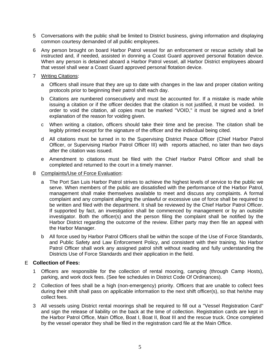- 5 Conversations with the public shall be limited to District business, giving information and displaying common courtesy demanded of all public employees.
- 6 Any person brought on board Harbor Patrol vessel for an enforcement or rescue activity shall be instructed and, if needed, assisted in donning a Coast Guard approved personal flotation device. When any person is detained aboard a Harbor Patrol vessel, all Harbor District employees aboard that vessel shall wear a Coast Guard approved personal flotation device.
- 7 Writing Citations:
	- a Officers shall insure that they are up to date with changes in the law and proper citation writing protocols prior to beginning their patrol shift each day.
	- b Citations are numbered consecutively and must be accounted for. If a mistake is made while issuing a citation or if the officer decides that the citation is not justified, it must be voided. In order to void the citation, all copies must be marked "VOID," it must be signed and a brief explanation of the reason for voiding given.
	- c When writing a citation, officers should take their time and be precise. The citation shall be legibly printed except for the signature of the officer and the individual being cited.
	- d All citations must be turned in to the Supervising District Peace Officer (Chief Harbor Patrol Officer, or Supervising Harbor Patrol Officer III) with reports attached, no later than two days after the citation was issued.
	- e Amendment to citations must be filed with the Chief Harbor Patrol Officer and shall be completed and returned to the court in a timely manner.
- 8 Complaints/Use of Force Evaluation:
	- a The Port San Luis Harbor Patrol strives to achieve the highest levels of service to the public we serve. When members of the public are dissatisfied with the performance of the Harbor Patrol, management shall make themselves available to meet and discuss any complaints. A formal complaint and any complaint alleging the unlawful or excessive use of force shall be required to be written and filed with the department. It shall be reviewed by the Chief Harbor Patrol Officer. If supported by fact, an investigation shall be commenced by management or by an outside investigator. Both the officer(s) and the person filing the complaint shall be notified by the Harbor District regarding the outcome of the review. Either party may then file an appeal with the Harbor Manager.
	- b All force used by Harbor Patrol Officers shall be within the scope of the Use of Force Standards, and Public Safety and Law Enforcement Policy, and consistent with their training. No Harbor Patrol Officer shall work any assigned patrol shift without reading and fully understanding the Districts Use of Force Standards and their application in the field.

## E **Collection of Fees:**

- 1 Officers are responsible for the collection of rental mooring, camping (through Camp Hosts), parking, and work dock fees. (See fee schedules in District Code Of Ordinances).
- 2 Collection of fees shall be a high (non-emergency) priority. Officers that are unable to collect fees during their shift shall pass on applicable information to the next shift officer(s), so that he/she may collect fees.
- 3 All vessels using District rental moorings shall be required to fill out a "Vessel Registration Card" and sign the release of liability on the back at the time of collection. Registration cards are kept in the Harbor Patrol Office, Main Office, Boat I, Boat II, Boat III and the rescue truck. Once completed by the vessel operator they shall be filed in the registration card file at the Main Office.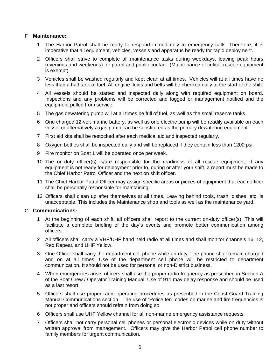## F **Maintenance:**

- 1 The Harbor Patrol shall be ready to respond immediately to emergency calls. Therefore, it is imperative that all equipment, vehicles, vessels and apparatus be ready for rapid deployment.
- 2 Officers shall strive to complete all maintenance tasks during weekdays, leaving peak hours (evenings and weekends) for patrol and public contact. (Maintenance of critical rescue equipment is exempt).
- 3 Vehicles shall be washed regularly and kept clean at all times. Vehicles will at all times have no less than a half tank of fuel. All engine fluids and belts will be checked daily at the start of the shift.
- 4 All vessels should be started and inspected daily along with required equipment on board. Inspections and any problems will be corrected and logged or management notified and the equipment pulled from service.
- 5 The gas dewatering pump will at all times be full of fuel, as well as the small reserve tanks.
- 6 One charged 12-volt marine battery, as well as one electric pump will be readily available on each vessel or alternatively a gas pump can be substituted as the primary dewatering equipment.
- 7 First aid kits shall be restocked after each medical aid and inspected regularly.
- 8 Oxygen bottles shall be inspected daily and will be replaced if they contain less than 1200 psi.
- 9 Fire monitor on Boat 1 will be operated once per week.
- 10 The on-duty officer(s) is/are responsible for the readiness of all rescue equipment. If any equipment is not ready for deployment prior to, during or after your shift, a report must be made to the Chief Harbor Patrol Officer and the next on shift officer.
- 11 The Chief Harbor Patrol Officer may assign specific areas or pieces of equipment that each officer shall be personally responsible for maintaining.
- 12 Officers shall clean up after themselves at all times. Leaving behind tools, trash, dishes, etc. is unacceptable. This includes the Maintenance shop and tools as well as the maintenance yard.

### G **Communications:**

- 1 At the beginning of each shift, all officers shall report to the current on-duty officer(s). This will facilitate a complete briefing of the day's events and promote better communication among officers.
- 2 All officers shall carry a VHF/UHF hand held radio at all times and shall monitor channels 16, 12, Red Repeat, and UHF Yellow.
- 3 One Officer shall carry the department cell phone while on-duty. The phone shall remain charged and on at all times. Use of the department cell phone will be restricted to department communication. It should not be used for personal or non-District business.
- 4 When emergencies arise, officers shall use the proper radio frequency as prescribed in Section A of the Boat Crew / Operator Training Manual. Use of 911 may delay response and should be used as a last resort.
- 5 Officers shall use proper radio operating procedures as prescribed in the Coast Guard Training Manual Communications section. The use of "Police ten" codes on marine and fire frequencies is not proper and officers should refrain from doing so.
- 6 Officers shall use UHF Yellow channel for all non-marine emergency assistance requests.
- 7 Officers shall not carry personal cell phones or personal electronic devices while on duty without written approval from management. Officers may give the Harbor Patrol cell phone number to family members for urgent communication.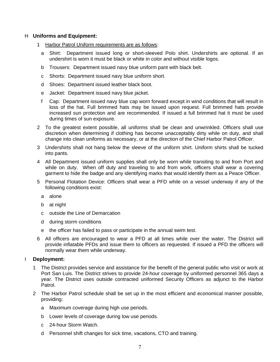### H **Uniforms and Equipment:**

- 1 Harbor Patrol Uniform requirements are as follows:
	- a Shirt: Department issued long or short-sleeved Polo shirt. Undershirts are optional. If an undershirt is worn it must be black or white in color and without visible logos.
	- b Trousers: Department issued navy blue uniform pant with black belt.
	- c Shorts: Department issued navy blue uniform short.
	- d Shoes: Department issued leather black boot.
	- e Jacket: Department issued navy blue jacket.
	- f Cap: Department issued navy blue cap worn forward except in wind conditions that will result in loss of the hat. Full brimmed hats may be issued upon request. Full brimmed hats provide increased sun protection and are recommended. If issued a full brimmed hat it must be used during times of sun exposure.
- 2 To the greatest extent possible, all uniforms shall be clean and unwrinkled. Officers shall use discretion when determining if clothing has become unacceptably dirty while on duty, and shall change into clean uniforms as necessary, or at the direction of the Chief Harbor Patrol Officer.
- 3 Undershirts shall not hang below the sleeve of the uniform shirt. Uniform shirts shall be tucked into pants.
- 4 All Department issued uniform supplies shall only be worn while transiting to and from Port and while on duty. When off duty and traveling to and from work, officers shall wear a covering garment to hide the badge and any identifying marks that would identify them as a Peace Officer.
- 5 Personal Flotation Device: Officers shall wear a PFD while on a vessel underway if any of the following conditions exist:
	- a alone
	- b at night
	- c outside the Line of Demarcation
	- d during storm conditions
	- e the officer has failed to pass or participate in the annual swim test.
- 6 All officers are encouraged to wear a PFD at all times while over the water. The District will provide inflatable PFDs and issue them to officers as requested. If issued a PFD the officers will normally wear them while underway.

## I **Deployment:**

- The District provides service and assistance for the benefit of the general public who visit or work at Port San Luis. The District strives to provide 24-hour coverage by uniformed personnel 365 days a year. The District uses outside contracted uniformed Security Officers as adjunct to the Harbor Patrol.
- 2 The Harbor Patrol schedule shall be set up in the most efficient and economical manner possible, providing:
	- a Maximum coverage during high use periods.
	- b Lower levels of coverage during low use periods.
	- c 24-hour Storm Watch.
	- d Personnel shift changes for sick time, vacations, CTO and training.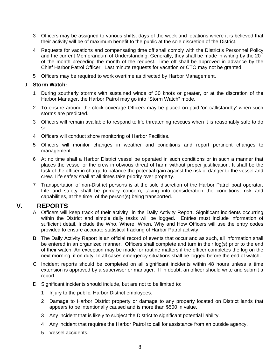- 3 Officers may be assigned to various shifts, days of the week and locations where it is believed that their activity will be of maximum benefit to the public at the sole discretion of the District.
- 4 Requests for vacations and compensating time off shall comply with the District's Personnel Policy and the current Memorandum of Understanding. Generally, they shall be made in writing by the  $20<sup>th</sup>$ of the month preceding the month of the request. Time off shall be approved in advance by the Chief Harbor Patrol Officer. Last minute requests for vacation or CTO may not be granted.
- 5 Officers may be required to work overtime as directed by Harbor Management.

## J **Storm Watch:**

- 1 During southerly storms with sustained winds of 30 knots or greater, or at the discretion of the Harbor Manager, the Harbor Patrol may go into "Storm Watch" mode.
- 2 To ensure around the clock coverage Officers may be placed on paid 'on call/standby' when such storms are predicted.
- 3 Officers will remain available to respond to life threatening rescues when it is reasonably safe to do so.
- 4 Officers will conduct shore monitoring of Harbor Facilities.
- 5 Officers will monitor changes in weather and conditions and report pertinent changes to management.
- 6 At no time shall a Harbor District vessel be operated in such conditions or in such a manner that places the vessel or the crew in obvious threat of harm without proper justification. It shall be the task of the officer in charge to balance the potential gain against the risk of danger to the vessel and crew. Life safety shall at all times take priority over property.
- 7 Transportation of non-District persons is at the sole discretion of the Harbor Patrol boat operator. Life and safety shall be primary concern, taking into consideration the conditions, risk and capabilities, at the time, of the person(s) being transported.

## **V. REPORTS**

- A Officers will keep track of their activity in the Daily Activity Report. Significant incidents occurring within the District and simple daily tasks will be logged. Entries must include information of sufficient detail. Include the Who, Where, When, Why and How Officers will use the entry codes provided to ensure accurate statistical tracking of Harbor Patrol activity.
- B The Daily Activity Report is an official record of events that occur and as such, all information shall be entered in an organized manner. Officers shall complete and turn in their log(s) prior to the end of their watch. An exception may be made for routine matters if the officer completes the log on the next morning, if on duty. In all cases emergency situations shall be logged before the end of watch.
- C Incident reports should be completed on all significant incidents within 48 hours unless a time extension is approved by a supervisor or manager. If in doubt, an officer should write and submit a report.
- D Significant incidents should include, but are not to be limited to:
	- 1 Injury to the public, Harbor District employees.
	- 2 Damage to Harbor District property or damage to any property located on District lands that appears to be intentionally caused and is more than \$500 in value.
	- 3 Any incident that is likely to subject the District to significant potential liability.
	- 4 Any incident that requires the Harbor Patrol to call for assistance from an outside agency.
	- 5 Vessel accidents.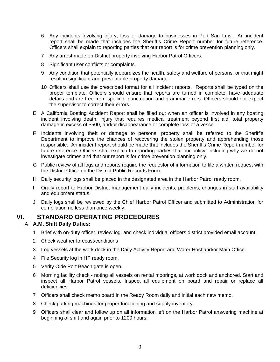- 6 Any incidents involving injury, loss or damage to businesses in Port San Luis. An incident report shall be made that includes the Sheriff's Crime Report number for future reference. Officers shall explain to reporting parties that our report is for crime prevention planning only.
- 7 Any arrest made on District property involving Harbor Patrol Officers.
- 8 Significant user conflicts or complaints.
- 9 Any condition that potentially jeopardizes the health, safety and welfare of persons, or that might result in significant and preventable property damage.
- 10 Officers shall use the prescribed format for all incident reports. Reports shall be typed on the proper template. Officers should ensure that reports are turned in complete, have adequate details and are free from spelling, punctuation and grammar errors. Officers should not expect the supervisor to correct their errors.
- E A California Boating Accident Report shall be filled out when an officer is involved in any boating incident involving death, injury that requires medical treatment beyond first aid, total property damage in excess of \$500, and/or disappearance or complete loss of a vessel.
- F Incidents involving theft or damage to personal property shall be referred to the Sheriff's Department to improve the chances of recovering the stolen property and apprehending those responsible. An incident report should be made that includes the Sheriff's Crime Report number for future reference. Officers shall explain to reporting parties that our policy, including why we do not investigate crimes and that our report is for crime prevention planning only.
- G Public review of all logs and reports require the requestor of information to file a written request with the District Office on the District Public Records Form.
- H Daily security logs shall be placed in the designated area in the Harbor Patrol ready room.
- I Orally report to Harbor District management daily incidents, problems, changes in staff availability and equipment status.
- J Daily logs shall be reviewed by the Chief Harbor Patrol Officer and submitted to Administration for compilation no less than once weekly.

# **VI. STANDARD OPERATING PROCEDURES**

## A **A.M. Shift Daily Duties:**

- 1 Brief with on-duty officer, review log. and check individual officers district provided email account.
- 2 Check weather forecast/conditions
- 3 Log vessels at the work dock in the Daily Activity Report and Water Host and/or Main Office.
- 4 File Security log in HP ready room.
- 5 Verify Olde Port Beach gate is open.
- 6 Morning facility check noting all vessels on rental moorings, at work dock and anchored. Start and inspect all Harbor Patrol vessels. Inspect all equipment on board and repair or replace all deficiencies.
- 7 Officers shall check memo board in the Ready Room daily and initial each new memo.
- 8 Check parking machines for proper functioning and supply inventory.
- 9 Officers shall clear and follow up on all information left on the Harbor Patrol answering machine at beginning of shift and again prior to 1200 hours.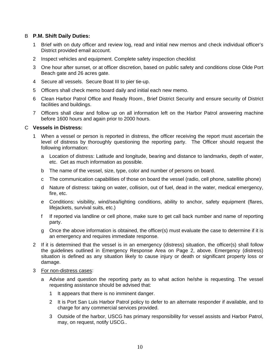## B **P.M. Shift Daily Duties:**

- 1 Brief with on duty officer and review log, read and initial new memos and check individual officer's District provided email account.
- 2 Inspect vehicles and equipment. Complete safety inspection checklist
- 3 One hour after sunset, or at officer discretion, based on public safety and conditions close Olde Port Beach gate and 26 acres gate.
- 4 Secure all vessels. Secure Boat III to pier tie-up.
- 5 Officers shall check memo board daily and initial each new memo.
- 6 Clean Harbor Patrol Office and Ready Room., Brief District Security and ensure security of District facilities and buildings.
- 7 Officers shall clear and follow up on all information left on the Harbor Patrol answering machine before 1600 hours and again prior to 2000 hours.

#### C **Vessels in Distress:**

- 1 When a vessel or person is reported in distress, the officer receiving the report must ascertain the level of distress by thoroughly questioning the reporting party. The Officer should request the following information:
	- a Location of distress: Latitude and longitude, bearing and distance to landmarks, depth of water, etc. Get as much information as possible.
	- b The name of the vessel, size, type, color and number of persons on board.
	- c The communication capabilities of those on board the vessel (radio, cell phone, satellite phone)
	- d Nature of distress: taking on water, collision, out of fuel, dead in the water, medical emergency, fire, etc.
	- e Conditions: visibility, wind/sea/lighting conditions, ability to anchor, safety equipment (flares, lifejackets, survival suits, etc.)
	- f If reported via landline or cell phone, make sure to get call back number and name of reporting party.
	- g Once the above information is obtained, the officer(s) must evaluate the case to determine if it is an emergency and requires immediate response.
- 2 If it is determined that the vessel is in an emergency (distress) situation, the officer(s) shall follow the guidelines outlined in Emergency Response Area on Page 2, above. Emergency (distress) situation is defined as any situation likely to cause injury or death or significant property loss or damage.
- 3 For non-distress cases:
	- a Advise and question the reporting party as to what action he/she is requesting. The vessel requesting assistance should be advised that:
		- 1 It appears that there is no imminent danger.
		- 2 It is Port San Luis Harbor Patrol policy to defer to an alternate responder if available, and to charge for any commercial services provided.
		- 3 Outside of the harbor, USCG has primary responsibility for vessel assists and Harbor Patrol, may, on request, notify USCG..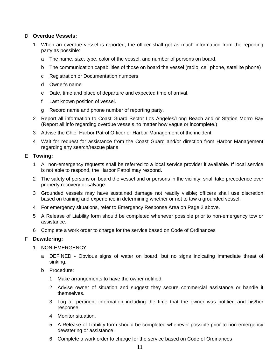## D **Overdue Vessels:**

- 1 When an overdue vessel is reported, the officer shall get as much information from the reporting party as possible:
	- a The name, size, type, color of the vessel, and number of persons on board.
	- b The communication capabilities of those on board the vessel (radio, cell phone, satellite phone)
	- c Registration or Documentation numbers
	- d Owner's name
	- e Date, time and place of departure and expected time of arrival.
	- f Last known position of vessel.
	- g Record name and phone number of reporting party.
- 2 Report all information to Coast Guard Sector Los Angeles/Long Beach and or Station Morro Bay (Report all info regarding overdue vessels no matter how vague or incomplete.)
- 3 Advise the Chief Harbor Patrol Officer or Harbor Management of the incident.
- 4 Wait for request for assistance from the Coast Guard and/or direction from Harbor Management regarding any search/rescue plans

### E **Towing:**

- 1 All non-emergency requests shall be referred to a local service provider if available. If local service is not able to respond, the Harbor Patrol may respond.
- 2 The safety of persons on board the vessel and or persons in the vicinity, shall take precedence over property recovery or salvage.
- 3 Grounded vessels may have sustained damage not readily visible; officers shall use discretion based on training and experience in determining whether or not to tow a grounded vessel.
- 4 For emergency situations, refer to Emergency Response Area on Page 2 above.
- 5 A Release of Liability form should be completed whenever possible prior to non-emergency tow or assistance.
- 6 Complete a work order to charge for the service based on Code of Ordinances

## F **Dewatering:**

- 1 NON-EMERGENCY
	- a DEFINED Obvious signs of water on board, but no signs indicating immediate threat of sinking.
	- b Procedure:
		- 1 Make arrangements to have the owner notified.
		- 2 Advise owner of situation and suggest they secure commercial assistance or handle it themselves.
		- 3 Log all pertinent information including the time that the owner was notified and his/her response.
		- 4 Monitor situation.
		- 5 A Release of Liability form should be completed whenever possible prior to non-emergency dewatering or assistance.
		- 6 Complete a work order to charge for the service based on Code of Ordinances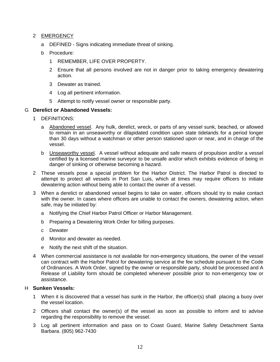## 2 EMERGENCY

- a DEFINED Signs indicating immediate threat of sinking.
- b Procedure:
	- 1 REMEMBER, LIFE OVER PROPERTY.
	- 2 Ensure that all persons involved are not in danger prior to taking emergency dewatering action.
	- 3 Dewater as trained.
	- 4 Log all pertinent information.
	- 5 Attempt to notify vessel owner or responsible party.

## G **Derelict or Abandoned Vessels:**

- 1 DEFINITIONS:
	- a Abandoned vessel. Any hulk, derelict, wreck, or parts of any vessel sunk, beached, or allowed to remain in an unseaworthy or dilapidated condition upon state tidelands for a period longer than 30 days without a watchman or other person stationed upon or near, and in charge of the vessel.
	- b Unseaworthy vessel. A vessel without adequate and safe means of propulsion and/or a vessel certified by a licensed marine surveyor to be unsafe and/or which exhibits evidence of being in danger of sinking or otherwise becoming a hazard.
- 2 These vessels pose a special problem for the Harbor District. The Harbor Patrol is directed to attempt to protect all vessels in Port San Luis, which at times may require officers to initiate dewatering action without being able to contact the owner of a vessel.
- 3 When a derelict or abandoned vessel begins to take on water, officers should try to make contact with the owner. In cases where officers are unable to contact the owners, dewatering action, when safe, may be initiated by:
	- a Notifying the Chief Harbor Patrol Officer or Harbor Management.
	- b Preparing a Dewatering Work Order for billing purposes.
	- c Dewater
	- d Monitor and dewater as needed.
	- e Notify the next shift of the situation.
- 4 When commercial assistance is not available for non-emergency situations, the owner of the vessel can contract with the Harbor Patrol for dewatering service at the fee schedule pursuant to the Code of Ordinances. A Work Order, signed by the owner or responsible party, should be processed and A Release of Liability form should be completed whenever possible prior to non-emergency tow or assistance.

## H **Sunken Vessels:**

- 1 When it is discovered that a vessel has sunk in the Harbor, the officer(s) shall placing a buoy over the vessel location.
- 2 Officers shall contact the owner(s) of the vessel as soon as possible to inform and to advise regarding the responsibility to remove the vessel.
- 3 Log all pertinent information and pass on to Coast Guard, Marine Safety Detachment Santa Barbara. (805) 962-7430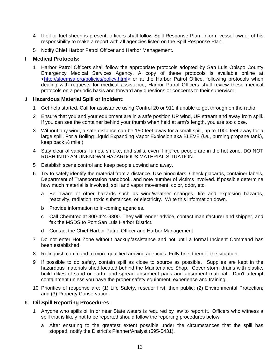- 4 If oil or fuel sheen is present, officers shall follow Spill Response Plan. Inform vessel owner of his responsibility to make a report with all agencies listed on the Spill Response Plan.
- 5 Notify Chief Harbor Patrol Officer and Harbor Management.

## I **Medical Protocols:**

1 Harbor Patrol Officers shall follow the appropriate protocols adopted by San Luis Obispo County Emergency Medical Services Agency. A copy of these protocols is available online at <http://sloemsa.org/policies/policy.html> or at the Harbor Patrol Office. following protocols when dealing with requests for medical assistance, Harbor Patrol Officers shall review these medical protocols on a periodic basis and forward any questions or concerns to their supervisor.

## J **Hazardous Material Spill or Incident:**

- 1 Get help started. Call for assistance using Control 20 or 911 if unable to get through on the radio.
- 2 Ensure that you and your equipment are in a safe position UP wind, UP stream and away from spill. If you can see the container behind your thumb when held at arm's length, you are too close.
- 3 Without any wind, a safe distance can be 150 feet away for a small spill, up to 1000 feet away for a large spill. For a Boiling Liquid Expanding Vapor Explosion aka BLEVE (*i.e.*, burning propane tank), keep back ½ mile.)
- 4 Stay clear of vapors, fumes, smoke, and spills, even if injured people are in the hot zone. DO NOT RUSH INTO AN UNKNOWN HAZARDOUS MATERIAL SITUATION.
- 5 Establish scene control and keep people upwind and away.
- 6 Try to safely identify the material from a distance. Use binoculars. Check placards, container labels, Department of Transportation handbook, and note number of victims involved. If possible determine how much material is involved, spill and vapor movement, color, odor, etc.
	- a Be aware of other hazards such as wind/weather changes, fire and explosion hazards, reactivity, radiation, toxic substances, or electricity. Write this information down.
	- b Provide information to in-coming agencies.
	- c Call Chemtrec at 800-424-9300. They will render advice, contact manufacturer and shipper, and fax the MSDS to Port San Luis Harbor District.
	- d Contact the Chief Harbor Patrol Officer and Harbor Management
- 7 Do not enter Hot Zone without backup/assistance and not until a formal Incident Command has been established.
- 8 Relinquish command to more qualified arriving agencies. Fully brief them of the situation.
- 9 If possible to do safely, contain spill as close to source as possible. Supplies are kept in the hazardous materials shed located behind the Maintenance Shop. Cover storm drains with plastic, build dikes of sand or earth, and spread absorbent pads and absorbent material. Don't attempt containment unless you have the proper safety equipment, experience and training.
- 10 Priorities of response are: (1) Life Safety, rescuer first, then public; (2) Environmental Protection; and (3) Property Conservation**.**

## K **Oil Spill Reporting Procedures:**

- 1 Anyone who spills oil in or near State waters is required by law to report it. Officers who witness a spill that is likely not to be reported should follow the reporting procedures below.
	- a After ensuring to the greatest extent possible under the circumstances that the spill has stopped, notify the District's Planner/Analyst (595-5431).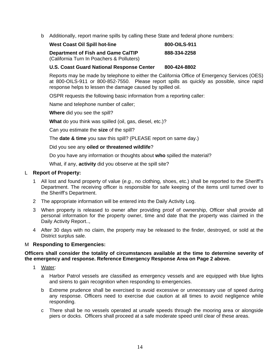b Additionally, report marine spills by calling these State and federal phone numbers:

| <b>West Coast Oil Spill hot-line</b>                                            | 800-OILS-911 |
|---------------------------------------------------------------------------------|--------------|
| Department of Fish and Game CalTIP<br>(California Turn In Poachers & Polluters) | 888-334-2258 |

### **U.S. Coast Guard National Response Center 800-424-8802**

Reports may be made by telephone to either the California Office of Emergency Services (OES) at 800-OILS-911 or 800-852-7550. Please report spills as quickly as possible, since rapid response helps to lessen the damage caused by spilled oil.

OSPR requests the following basic information from a reporting caller:

Name and telephone number of caller;

**Where** did you see the spill?

**What** do you think was spilled (oil, gas, diesel, etc.)?

Can you estimate the **size** of the spill?

The **date & time** you saw this spill? (PLEASE report on same day.)

Did you see any **oiled or threatened wildlife**?

Do you have any information or thoughts about **who** spilled the material?

What, if any, **activity** did you observe at the spill site?

### L **Report of Property:**

- 1 All lost and found property of value (*e.g.*, no clothing, shoes, etc.) shall be reported to the Sheriff's Department. The receiving officer is responsible for safe keeping of the items until turned over to the Sheriff's Department.
- 2 The appropriate information will be entered into the Daily Activity Log.
- 3 When property is released to owner after providing proof of ownership, Officer shall provide all personal information for the property owner, time and date that the property was claimed in the Daily Activity Report..,
- 4 After 30 days with no claim, the property may be released to the finder, destroyed, or sold at the District surplus sale.

#### M **Responding to Emergencies:**

### **Officers shall consider the totality of circumstances available at the time to determine severity of the emergency and response. Reference Emergency Response Area on Page 2 above.**

- 1 Water:
	- a Harbor Patrol vessels are classified as emergency vessels and are equipped with blue lights and sirens to gain recognition when responding to emergencies.
	- b Extreme prudence shall be exercised to avoid excessive or unnecessary use of speed during any response. Officers need to exercise due caution at all times to avoid negligence while responding.
	- c There shall be no vessels operated at unsafe speeds through the mooring area or alongside piers or docks. Officers shall proceed at a safe moderate speed until clear of these areas.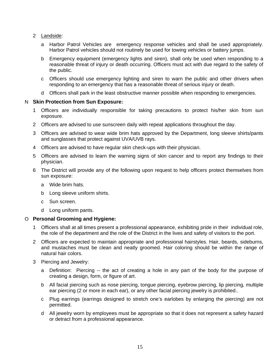- 2 Landside:
	- a Harbor Patrol Vehicles are emergency response vehicles and shall be used appropriately. Harbor Patrol vehicles should not routinely be used for towing vehicles or battery jumps.
	- b Emergency equipment (emergency lights and siren), shall only be used when responding to a reasonable threat of injury or death occurring. Officers must act with due regard to the safety of the public.
	- c Officers should use emergency lighting and siren to warn the public and other drivers when responding to an emergency that has a reasonable threat of serious injury or death.
	- d Officers shall park in the least obstructive manner possible when responding to emergencies.

## N **Skin Protection from Sun Exposure:**

- 1 Officers are individually responsible for taking precautions to protect his/her skin from sun exposure.
- 2 Officers are advised to use sunscreen daily with repeat applications throughout the day.
- 3 Officers are advised to wear wide brim hats approved by the Department, long sleeve shirts/pants and sunglasses that protect against UVA/UVB rays.
- 4 Officers are advised to have regular skin check-ups with their physician.
- 5 Officers are advised to learn the warning signs of skin cancer and to report any findings to their physician.
- 6 The District will provide any of the following upon request to help officers protect themselves from sun exposure:
	- a Wide brim hats.
	- b Long sleeve uniform shirts.
	- c Sun screen.
	- d Long uniform pants.

#### O **Personal Grooming and Hygiene:**

- 1 Officers shall at all times present a professional appearance, exhibiting pride in their individual role, the role of the department and the role of the District in the lives and safety of visitors to the port.
- 2 Officers are expected to maintain appropriate and professional hairstyles. Hair, beards, sideburns, and mustaches must be clean and neatly groomed. Hair coloring should be within the range of natural hair colors.
- 3 Piercing and Jewelry:
	- a Definition: Piercing -- the act of creating a hole in any part of the body for the purpose of creating a design, form, or figure of art.
	- b All facial piercing such as nose piercing, tongue piercing, eyebrow piercing, lip piercing, multiple ear piercing (2 or more in each ear), or any other facial piercing jewelry is prohibited..
	- c Plug earrings (earrings designed to stretch one's earlobes by enlarging the piercing) are not permitted.
	- d All jewelry worn by employees must be appropriate so that it does not represent a safety hazard or detract from a professional appearance.